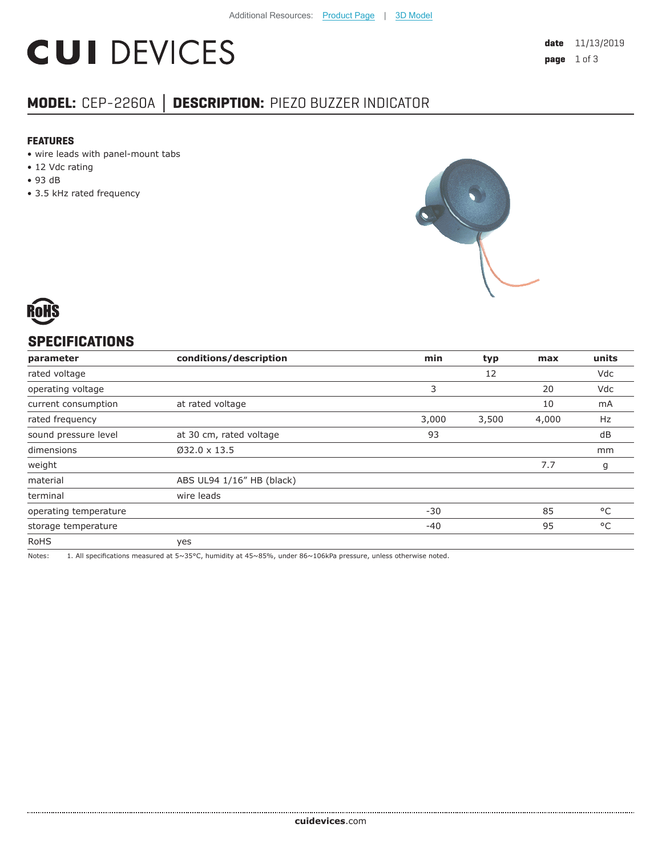# **CUI DEVICES**

## **MODEL:** CEP-2260A **│ DESCRIPTION:** PIEZO BUZZER INDICATOR

#### **FEATURES**

- wire leads with panel-mount tabs
- 12 Vdc rating
- 93 dB
- 3.5 kHz rated frequency





#### **SPECIFICATIONS**

| parameter             | conditions/description    | min   | typ   | max   | units |
|-----------------------|---------------------------|-------|-------|-------|-------|
| rated voltage         |                           |       | 12    |       | Vdc   |
| operating voltage     |                           | 3     |       | 20    | Vdc   |
| current consumption   | at rated voltage          |       |       | 10    | mA    |
| rated frequency       |                           | 3,000 | 3,500 | 4,000 | Hz    |
| sound pressure level  | at 30 cm, rated voltage   | 93    |       |       | dB    |
| dimensions            | $032.0 \times 13.5$       |       |       |       | mm    |
| weight                |                           |       |       | 7.7   | g     |
| material              | ABS UL94 1/16" HB (black) |       |       |       |       |
| terminal              | wire leads                |       |       |       |       |
| operating temperature |                           | $-30$ |       | 85    | °C    |
| storage temperature   |                           | $-40$ |       | 95    | °C    |
| <b>RoHS</b>           | yes                       |       |       |       |       |

Notes: 1. All specifications measured at 5~35°C, humidity at 45~85%, under 86~106kPa pressure, unless otherwise noted.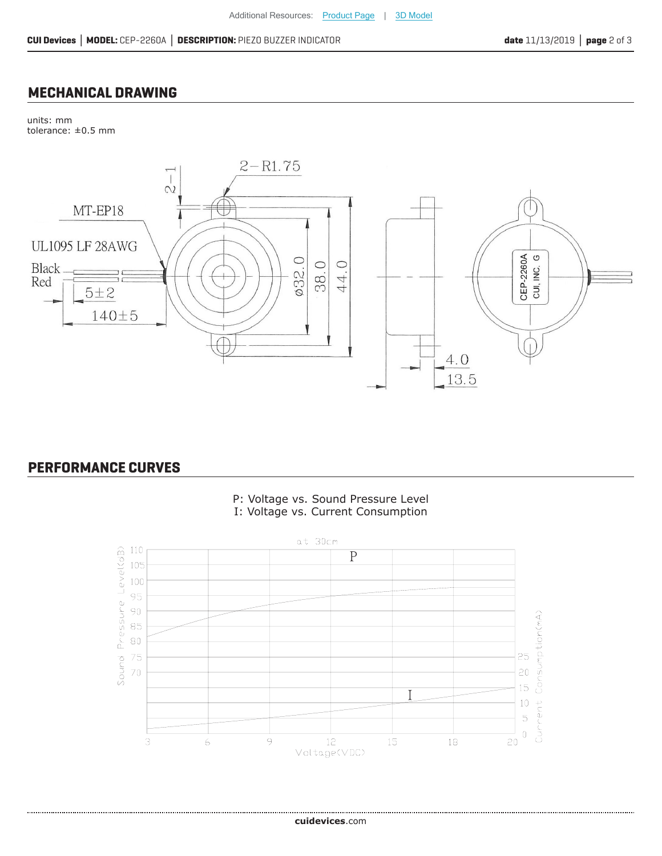### **MECHANICAL DRAWING**

units: mm tolerance: ±0.5 mm



#### **PERFORMANCE CURVES**